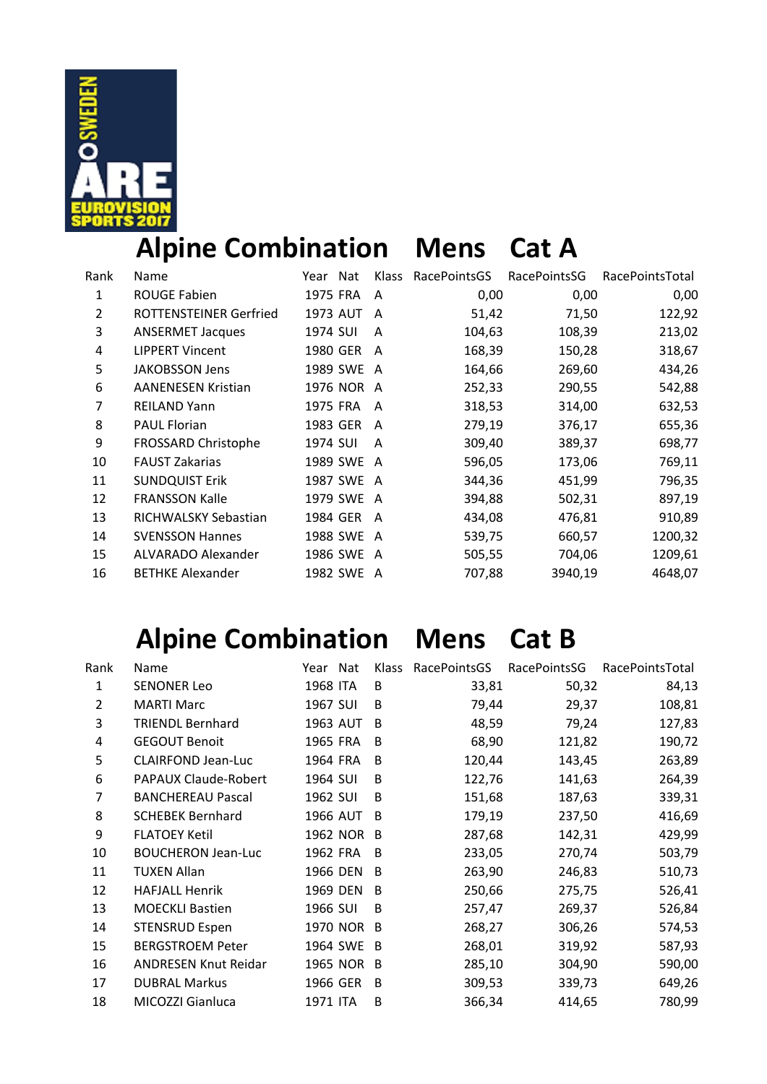

# **Alpine Combination Mens Cat A**

| Rank           | <b>Name</b>               | Nat<br>Year | <b>Klass</b> | RacePointsGS | RacePointsSG | RacePointsTotal |
|----------------|---------------------------|-------------|--------------|--------------|--------------|-----------------|
| 1              | <b>ROUGE Fabien</b>       | 1975 FRA    | A            | 0,00         | 0,00         | 0,00            |
| $\overline{2}$ | ROTTENSTEINER Gerfried    | 1973 AUT    | A            | 51,42        | 71,50        | 122,92          |
| 3              | <b>ANSERMET Jacques</b>   | 1974 SUI    | A            | 104,63       | 108,39       | 213,02          |
| 4              | <b>LIPPERT Vincent</b>    | 1980 GER    | A            | 168,39       | 150,28       | 318,67          |
| 5              | <b>JAKOBSSON Jens</b>     | 1989 SWE A  |              | 164,66       | 269,60       | 434,26          |
| 6              | <b>AANENESEN Kristian</b> | 1976 NOR    | A            | 252,33       | 290,55       | 542,88          |
| 7              | <b>REILAND Yann</b>       | 1975 FRA    | A            | 318,53       | 314,00       | 632,53          |
| 8              | <b>PAUL Florian</b>       | 1983 GER    | A            | 279,19       | 376,17       | 655,36          |
| 9              | FROSSARD Christophe       | 1974 SUI    | A            | 309,40       | 389,37       | 698,77          |
| 10             | <b>FAUST Zakarias</b>     | 1989 SWE A  |              | 596,05       | 173,06       | 769,11          |
| 11             | <b>SUNDQUIST Erik</b>     | 1987 SWE    | A            | 344,36       | 451,99       | 796,35          |
| 12             | <b>FRANSSON Kalle</b>     | 1979 SWE A  |              | 394,88       | 502,31       | 897,19          |
| 13             | RICHWALSKY Sebastian      | 1984 GER    | A            | 434,08       | 476,81       | 910,89          |
| 14             | <b>SVENSSON Hannes</b>    | 1988 SWE    | A            | 539,75       | 660,57       | 1200,32         |
| 15             | ALVARADO Alexander        | 1986 SWE A  |              | 505,55       | 704,06       | 1209,61         |
| 16             | <b>BETHKE Alexander</b>   | 1982 SWE    | A            | 707,88       | 3940,19      | 4648,07         |

# **Alpine Combination Mens Cat B**

| Rank           | Name                        | Year Nat | <b>Klass</b> | RacePointsGS | RacePointsSG | RacePointsTotal |
|----------------|-----------------------------|----------|--------------|--------------|--------------|-----------------|
| 1              | <b>SENONER Leo</b>          | 1968 ITA | B            | 33,81        | 50,32        | 84,13           |
| $\overline{2}$ | <b>MARTI Marc</b>           | 1967 SUI | B            | 79,44        | 29,37        | 108,81          |
| 3              | <b>TRIENDL Bernhard</b>     | 1963 AUT | <sub>B</sub> | 48,59        | 79,24        | 127,83          |
| 4              | <b>GEGOUT Benoit</b>        | 1965 FRA | <sup>B</sup> | 68,90        | 121,82       | 190,72          |
| 5              | <b>CLAIRFOND Jean-Luc</b>   | 1964 FRA | <sub>B</sub> | 120,44       | 143,45       | 263,89          |
| 6              | PAPAUX Claude-Robert        | 1964 SUI | <sub>B</sub> | 122,76       | 141,63       | 264,39          |
| 7              | <b>BANCHEREAU Pascal</b>    | 1962 SUI | B            | 151,68       | 187,63       | 339,31          |
| 8              | <b>SCHEBEK Bernhard</b>     | 1966 AUT | <sup>B</sup> | 179,19       | 237,50       | 416,69          |
| 9              | <b>FLATOEY Ketil</b>        | 1962 NOR | <sup>B</sup> | 287,68       | 142,31       | 429,99          |
| 10             | <b>BOUCHERON Jean-Luc</b>   | 1962 FRA | <sup>B</sup> | 233,05       | 270,74       | 503,79          |
| 11             | <b>TUXEN Allan</b>          | 1966 DEN | <sup>B</sup> | 263,90       | 246,83       | 510,73          |
| 12             | <b>HAFJALL Henrik</b>       | 1969 DEN | B            | 250,66       | 275,75       | 526,41          |
| 13             | <b>MOECKLI Bastien</b>      | 1966 SUI | <sub>B</sub> | 257,47       | 269,37       | 526,84          |
| 14             | <b>STENSRUD Espen</b>       | 1970 NOR | B            | 268,27       | 306,26       | 574,53          |
| 15             | <b>BERGSTROEM Peter</b>     | 1964 SWE | <sup>B</sup> | 268,01       | 319,92       | 587,93          |
| 16             | <b>ANDRESEN Knut Reidar</b> | 1965 NOR | <sup>B</sup> | 285,10       | 304,90       | 590,00          |
| 17             | <b>DUBRAL Markus</b>        | 1966 GER | <sup>B</sup> | 309,53       | 339,73       | 649,26          |
| 18             | MICOZZI Gianluca            | 1971 ITA | B            | 366,34       | 414,65       | 780,99          |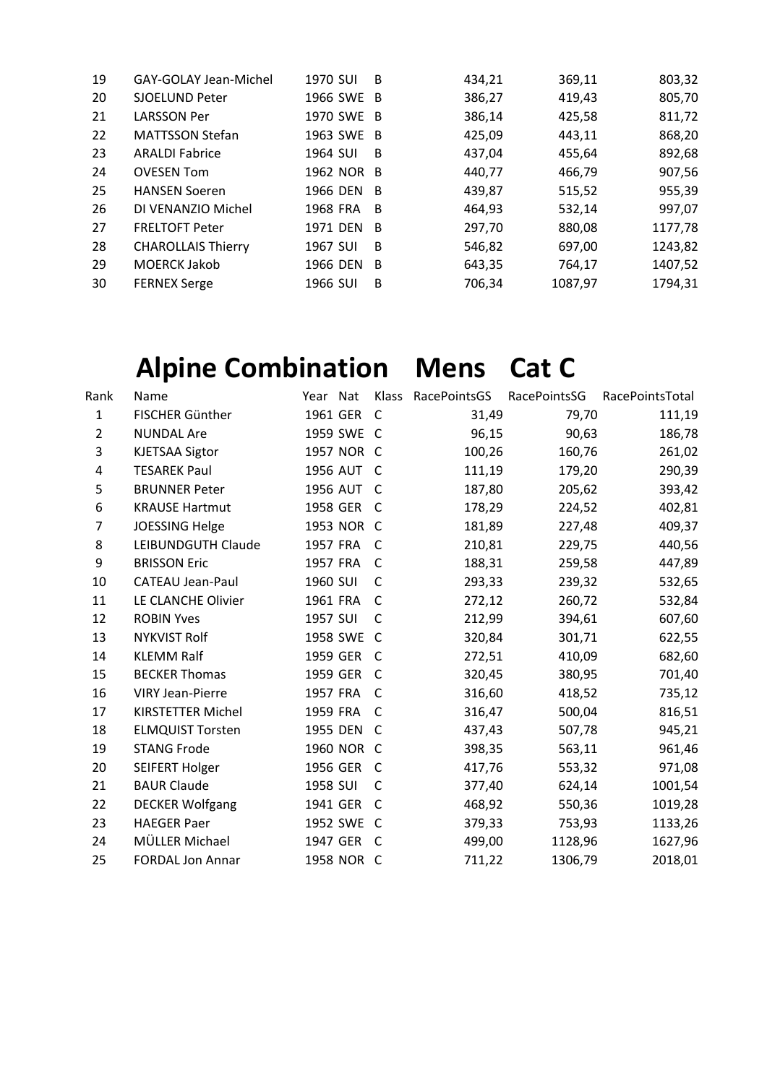|                           |                       |   |                                                                                         |         | 803,32  |
|---------------------------|-----------------------|---|-----------------------------------------------------------------------------------------|---------|---------|
|                           |                       |   | 386,27                                                                                  | 419,43  | 805,70  |
| <b>LARSSON Per</b>        |                       |   | 386,14                                                                                  | 425,58  | 811,72  |
| <b>MATTSSON Stefan</b>    |                       |   | 425,09                                                                                  | 443,11  | 868,20  |
| <b>ARALDI Fabrice</b>     | 1964 SUI              | B | 437,04                                                                                  | 455,64  | 892,68  |
| <b>OVESEN Tom</b>         |                       |   | 440,77                                                                                  | 466,79  | 907,56  |
| <b>HANSEN Soeren</b>      |                       |   | 439,87                                                                                  | 515,52  | 955,39  |
| DI VENANZIO Michel        | 1968 FRA              |   | 464,93                                                                                  | 532,14  | 997,07  |
| <b>FRELTOFT Peter</b>     |                       |   | 297,70                                                                                  | 880,08  | 1177,78 |
| <b>CHAROLLAIS Thierry</b> | 1967 SUI              | B | 546,82                                                                                  | 697,00  | 1243,82 |
| <b>MOERCK Jakob</b>       | 1966 DEN              | B | 643,35                                                                                  | 764,17  | 1407,52 |
| <b>FERNEX Serge</b>       | 1966 SUI              | B | 706,34                                                                                  | 1087,97 | 1794,31 |
|                           | <b>SJOELUND Peter</b> |   | 1966 SWE B<br>1970 SWE B<br>1963 SWE B<br>1962 NOR B<br>1966 DEN B<br>- B<br>1971 DEN B |         |         |

# Alpine Combination Mens Cat C

|                | <b>Alpine Combination</b> |            |              | <b>Mens</b>  | cat c        |                 |
|----------------|---------------------------|------------|--------------|--------------|--------------|-----------------|
| Rank           | Name                      | Year Nat   | Klass        | RacePointsGS | RacePointsSG | RacePointsTotal |
| $\mathbf{1}$   | <b>FISCHER Günther</b>    | 1961 GER   | $\mathsf{C}$ | 31,49        | 79,70        | 111,19          |
| $\overline{2}$ | <b>NUNDAL Are</b>         | 1959 SWE C |              | 96,15        | 90,63        | 186,78          |
| 3              | <b>KJETSAA Sigtor</b>     | 1957 NOR C |              | 100,26       | 160,76       | 261,02          |
| 4              | <b>TESAREK Paul</b>       | 1956 AUT   | C            | 111,19       | 179,20       | 290,39          |
| 5              | <b>BRUNNER Peter</b>      | 1956 AUT   | C            | 187,80       | 205,62       | 393,42          |
| 6              | <b>KRAUSE Hartmut</b>     | 1958 GER   | C            | 178,29       | 224,52       | 402,81          |
| $\overline{7}$ | <b>JOESSING Helge</b>     | 1953 NOR C |              | 181,89       | 227,48       | 409,37          |
| 8              | LEIBUNDGUTH Claude        | 1957 FRA   | C            | 210,81       | 229,75       | 440,56          |
| 9              | <b>BRISSON Eric</b>       | 1957 FRA   | C            | 188,31       | 259,58       | 447,89          |
| 10             | <b>CATEAU Jean-Paul</b>   | 1960 SUI   | $\mathsf{C}$ | 293,33       | 239,32       | 532,65          |
| 11             | LE CLANCHE Olivier        | 1961 FRA   | C            | 272,12       | 260,72       | 532,84          |
| 12             | <b>ROBIN Yves</b>         | 1957 SUI   | C            | 212,99       | 394,61       | 607,60          |
| 13             | <b>NYKVIST Rolf</b>       | 1958 SWE   | C            | 320,84       | 301,71       | 622,55          |
| 14             | <b>KLEMM Ralf</b>         | 1959 GER   | C            | 272,51       | 410,09       | 682,60          |
| 15             | <b>BECKER Thomas</b>      | 1959 GER   | C            | 320,45       | 380,95       | 701,40          |
| 16             | <b>VIRY Jean-Pierre</b>   | 1957 FRA   | C            | 316,60       | 418,52       | 735,12          |
| 17             | <b>KIRSTETTER Michel</b>  | 1959 FRA   | C            | 316,47       | 500,04       | 816,51          |
| 18             | <b>ELMQUIST Torsten</b>   | 1955 DEN   | C            | 437,43       | 507,78       | 945,21          |
| 19             | <b>STANG Frode</b>        | 1960 NOR   | C            | 398,35       | 563,11       | 961,46          |
| 20             | SEIFERT Holger            | 1956 GER   | C            | 417,76       | 553,32       | 971,08          |
| 21             | <b>BAUR Claude</b>        | 1958 SUI   | C            | 377,40       | 624,14       | 1001,54         |
| 22             | <b>DECKER Wolfgang</b>    | 1941 GER   | C            | 468,92       | 550,36       | 1019,28         |
| 23             | <b>HAEGER Paer</b>        | 1952 SWE   | C            | 379,33       | 753,93       | 1133,26         |
| 24             | MÜLLER Michael            | 1947 GER   | C            | 499,00       | 1128,96      | 1627,96         |
| 25             | <b>FORDAL Jon Annar</b>   | 1958 NOR   | C            | 711,22       | 1306,79      | 2018,01         |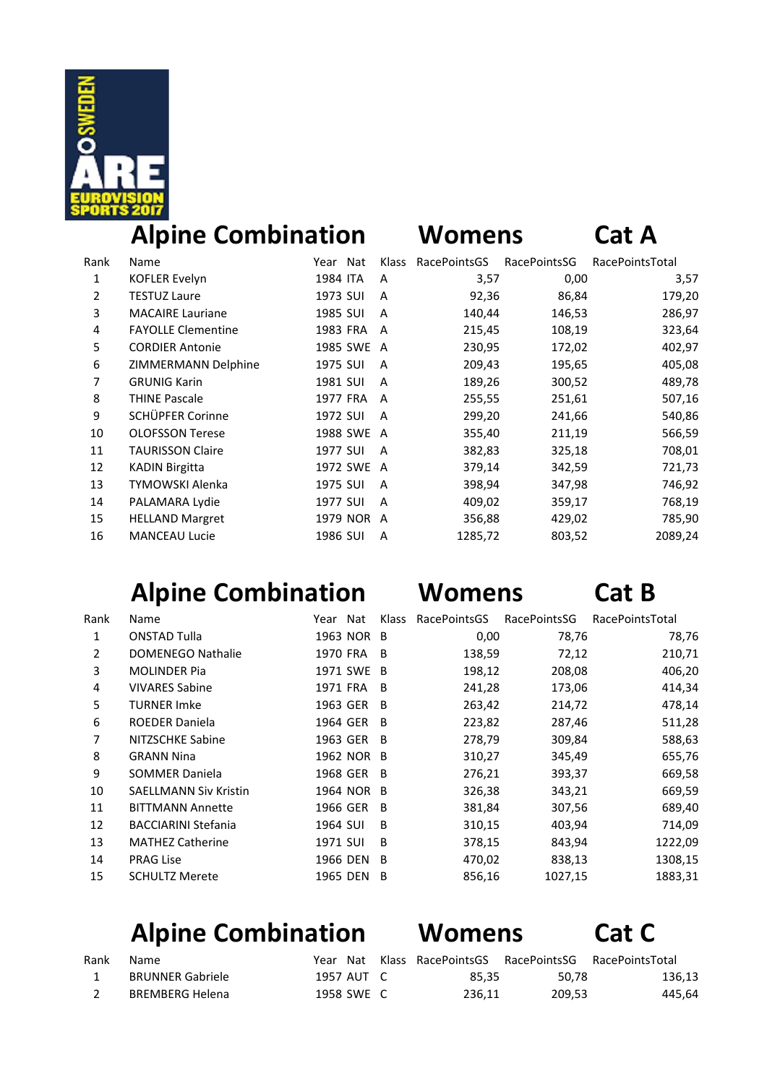

### **Alpine Combination Womens Cat A**

| Name                      | Year Nat |   | RacePointsGS                                                   | RacePointsSG | RacePointsTotal                                                                                                                                            |
|---------------------------|----------|---|----------------------------------------------------------------|--------------|------------------------------------------------------------------------------------------------------------------------------------------------------------|
| <b>KOFLER Evelyn</b>      | 1984 ITA | A |                                                                | 0,00         | 3,57                                                                                                                                                       |
| <b>TESTUZ Laure</b>       | 1973 SUI | A |                                                                | 86,84        | 179,20                                                                                                                                                     |
| <b>MACAIRE Lauriane</b>   | 1985 SUI | A |                                                                | 146,53       | 286,97                                                                                                                                                     |
| <b>FAYOLLE Clementine</b> | 1983 FRA |   |                                                                | 108,19       | 323,64                                                                                                                                                     |
| <b>CORDIER Antonie</b>    |          |   |                                                                | 172,02       | 402,97                                                                                                                                                     |
| ZIMMERMANN Delphine       | 1975 SUI | A |                                                                | 195,65       | 405,08                                                                                                                                                     |
| <b>GRUNIG Karin</b>       | 1981 SUI | A |                                                                | 300,52       | 489,78                                                                                                                                                     |
| <b>THINE Pascale</b>      | 1977 FRA |   |                                                                | 251,61       | 507,16                                                                                                                                                     |
| SCHÜPFER Corinne          | 1972 SUI | A |                                                                | 241,66       | 540,86                                                                                                                                                     |
| <b>OLOFSSON Terese</b>    |          |   |                                                                | 211,19       | 566,59                                                                                                                                                     |
| <b>TAURISSON Claire</b>   | 1977 SUI | A |                                                                | 325,18       | 708,01                                                                                                                                                     |
| <b>KADIN Birgitta</b>     |          |   |                                                                | 342,59       | 721,73                                                                                                                                                     |
| <b>TYMOWSKI Alenka</b>    | 1975 SUI | A |                                                                | 347,98       | 746,92                                                                                                                                                     |
| PALAMARA Lydie            | 1977 SUI | A |                                                                | 359,17       | 768,19                                                                                                                                                     |
| <b>HELLAND Margret</b>    |          |   |                                                                | 429,02       | 785,90                                                                                                                                                     |
| <b>MANCEAU Lucie</b>      | 1986 SUI | A |                                                                | 803,52       | 2089,24                                                                                                                                                    |
|                           |          |   | A<br>1985 SWE A<br>A<br>1988 SWE A<br>1972 SWE A<br>1979 NOR A | Klass        | 3,57<br>92,36<br>140,44<br>215,45<br>230,95<br>209,43<br>189,26<br>255,55<br>299,20<br>355,40<br>382,83<br>379,14<br>398,94<br>409,02<br>356,88<br>1285,72 |

### **Alpine Combination Womens Cat B**

| Rank           | <b>Name</b>                  | Year Nat |            | <b>Klass</b> | RacePointsGS | RacePointsSG | RacePointsTotal |
|----------------|------------------------------|----------|------------|--------------|--------------|--------------|-----------------|
| 1              | <b>ONSTAD Tulla</b>          |          | 1963 NOR B |              | 0,00         | 78,76        | 78,76           |
| $\overline{2}$ | <b>DOMENEGO Nathalie</b>     | 1970 FRA |            | B            | 138,59       | 72,12        | 210,71          |
| 3              | <b>MOLINDER Pia</b>          |          | 1971 SWE   | -B           | 198,12       | 208,08       | 406,20          |
| 4              | <b>VIVARES Sabine</b>        | 1971 FRA |            | B            | 241,28       | 173,06       | 414,34          |
| 5              | <b>TURNER Imke</b>           | 1963 GER |            | B            | 263,42       | 214,72       | 478,14          |
| 6              | <b>ROEDER Daniela</b>        |          | 1964 GER B |              | 223,82       | 287,46       | 511,28          |
| 7              | NITZSCHKE Sabine             | 1963 GER |            | -B           | 278,79       | 309,84       | 588,63          |
| 8              | <b>GRANN Nina</b>            |          | 1962 NOR B |              | 310,27       | 345,49       | 655,76          |
| 9              | <b>SOMMER Daniela</b>        |          | 1968 GER B |              | 276,21       | 393,37       | 669,58          |
| 10             | <b>SAELLMANN Siv Kristin</b> |          | 1964 NOR B |              | 326,38       | 343,21       | 669,59          |
| 11             | <b>BITTMANN Annette</b>      |          | 1966 GER   | -B           | 381,84       | 307,56       | 689,40          |
| 12             | <b>BACCIARINI Stefania</b>   | 1964 SUI |            | B            | 310,15       | 403,94       | 714,09          |
| 13             | <b>MATHEZ Catherine</b>      | 1971 SUI |            | B            | 378,15       | 843,94       | 1222,09         |
| 14             | <b>PRAG Lise</b>             | 1966 DEN |            | B            | 470,02       | 838,13       | 1308,15         |
| 15             | <b>SCHULTZ Merete</b>        | 1965 DEN |            | B            | 856,16       | 1027,15      | 1883,31         |
|                |                              |          |            |              |              |              |                 |

### **Alpine Combination Womens Cat C**

| Rank | Name             | Year Nat   | Klass RacePointsGS RacePointsSG RacePointsTotal |        |        |
|------|------------------|------------|-------------------------------------------------|--------|--------|
|      | BRUNNER Gabriele | 1957 AUT C | 85.35                                           | 50.78  | 136,13 |
|      | BREMBERG Helena  | 1958 SWE C | 236.11                                          | 209.53 | 445,64 |